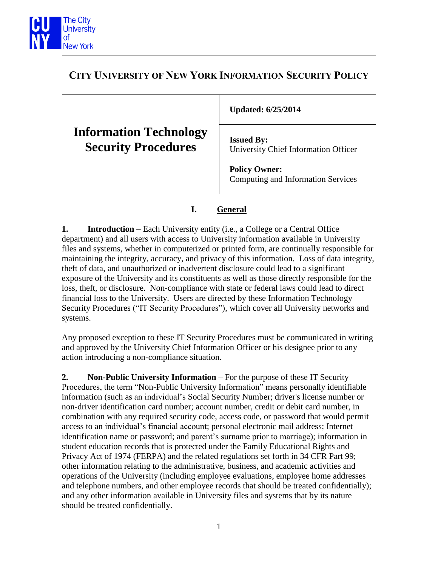

| <b>CITY UNIVERSITY OF NEW YORK INFORMATION SECURITY POLICY</b> |                                                                                                                         |
|----------------------------------------------------------------|-------------------------------------------------------------------------------------------------------------------------|
|                                                                | <b>Updated: 6/25/2014</b>                                                                                               |
| <b>Information Technology</b><br><b>Security Procedures</b>    | <b>Issued By:</b><br>University Chief Information Officer<br><b>Policy Owner:</b><br>Computing and Information Services |
|                                                                |                                                                                                                         |

## **I. General**

**1. Introduction** – Each University entity (i.e., a College or a Central Office department) and all users with access to University information available in University files and systems, whether in computerized or printed form, are continually responsible for maintaining the integrity, accuracy, and privacy of this information. Loss of data integrity, theft of data, and unauthorized or inadvertent disclosure could lead to a significant exposure of the University and its constituents as well as those directly responsible for the loss, theft, or disclosure. Non-compliance with state or federal laws could lead to direct financial loss to the University. Users are directed by these Information Technology Security Procedures ("IT Security Procedures"), which cover all University networks and systems.

Any proposed exception to these IT Security Procedures must be communicated in writing and approved by the University Chief Information Officer or his designee prior to any action introducing a non-compliance situation.

**2. Non-Public University Information** – For the purpose of these IT Security Procedures, the term "Non-Public University Information" means personally identifiable information (such as an individual's Social Security Number; driver's license number or non-driver identification card number; account number, credit or debit card number, in combination with any required security code, access code, or password that would permit access to an individual's financial account; personal electronic mail address; Internet identification name or password; and parent's surname prior to marriage); information in student education records that is protected under the Family Educational Rights and Privacy Act of 1974 (FERPA) and the related regulations set forth in 34 CFR Part 99; other information relating to the administrative, business, and academic activities and operations of the University (including employee evaluations, employee home addresses and telephone numbers, and other employee records that should be treated confidentially); and any other information available in University files and systems that by its nature should be treated confidentially.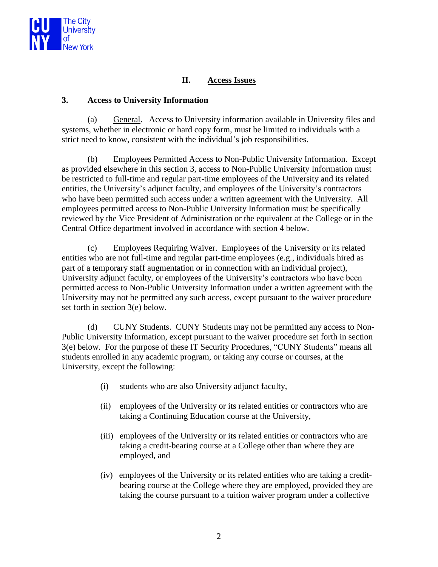

# **II. Access Issues**

#### **3. Access to University Information**

(a) General. Access to University information available in University files and systems, whether in electronic or hard copy form, must be limited to individuals with a strict need to know, consistent with the individual's job responsibilities.

(b) Employees Permitted Access to Non-Public University Information. Except as provided elsewhere in this section 3, access to Non-Public University Information must be restricted to full-time and regular part-time employees of the University and its related entities, the University's adjunct faculty, and employees of the University's contractors who have been permitted such access under a written agreement with the University. All employees permitted access to Non-Public University Information must be specifically reviewed by the Vice President of Administration or the equivalent at the College or in the Central Office department involved in accordance with section 4 below.

(c) Employees Requiring Waiver. Employees of the University or its related entities who are not full-time and regular part-time employees (e.g., individuals hired as part of a temporary staff augmentation or in connection with an individual project), University adjunct faculty, or employees of the University's contractors who have been permitted access to Non-Public University Information under a written agreement with the University may not be permitted any such access, except pursuant to the waiver procedure set forth in section 3(e) below.

(d) CUNY Students. CUNY Students may not be permitted any access to Non-Public University Information, except pursuant to the waiver procedure set forth in section 3(e) below. For the purpose of these IT Security Procedures, "CUNY Students" means all students enrolled in any academic program, or taking any course or courses, at the University, except the following:

- (i) students who are also University adjunct faculty,
- (ii) employees of the University or its related entities or contractors who are taking a Continuing Education course at the University,
- (iii) employees of the University or its related entities or contractors who are taking a credit-bearing course at a College other than where they are employed, and
- (iv) employees of the University or its related entities who are taking a creditbearing course at the College where they are employed, provided they are taking the course pursuant to a tuition waiver program under a collective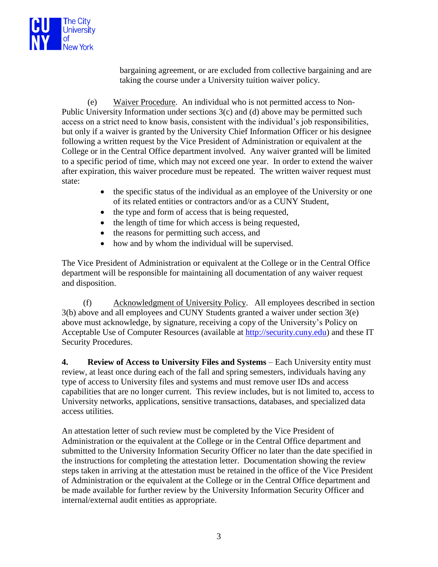

bargaining agreement, or are excluded from collective bargaining and are taking the course under a University tuition waiver policy.

(e) Waiver Procedure. An individual who is not permitted access to Non-Public University Information under sections 3(c) and (d) above may be permitted such access on a strict need to know basis, consistent with the individual's job responsibilities, but only if a waiver is granted by the University Chief Information Officer or his designee following a written request by the Vice President of Administration or equivalent at the College or in the Central Office department involved. Any waiver granted will be limited to a specific period of time, which may not exceed one year. In order to extend the waiver after expiration, this waiver procedure must be repeated. The written waiver request must state:

- the specific status of the individual as an employee of the University or one of its related entities or contractors and/or as a CUNY Student,
- the type and form of access that is being requested,
- the length of time for which access is being requested,
- the reasons for permitting such access, and
- how and by whom the individual will be supervised.

The Vice President of Administration or equivalent at the College or in the Central Office department will be responsible for maintaining all documentation of any waiver request and disposition.

(f) Acknowledgment of University Policy. All employees described in section 3(b) above and all employees and CUNY Students granted a waiver under section 3(e) above must acknowledge, by signature, receiving a copy of the University's Policy on Acceptable Use of Computer Resources (available at [http://security.cuny.edu\)](http://security.cuny.edu/) and these IT Security Procedures.

**4. Review of Access to University Files and Systems** – Each University entity must review, at least once during each of the fall and spring semesters, individuals having any type of access to University files and systems and must remove user IDs and access capabilities that are no longer current. This review includes, but is not limited to, access to University networks, applications, sensitive transactions, databases, and specialized data access utilities.

An attestation letter of such review must be completed by the Vice President of Administration or the equivalent at the College or in the Central Office department and submitted to the University Information Security Officer no later than the date specified in the instructions for completing the attestation letter. Documentation showing the review steps taken in arriving at the attestation must be retained in the office of the Vice President of Administration or the equivalent at the College or in the Central Office department and be made available for further review by the University Information Security Officer and internal/external audit entities as appropriate.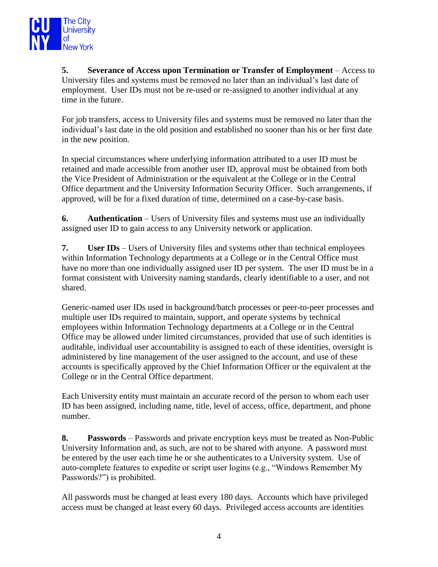

**5. Severance of Access upon Termination or Transfer of Employment** – Access to University files and systems must be removed no later than an individual's last date of employment. User IDs must not be re-used or re-assigned to another individual at any time in the future.

For job transfers, access to University files and systems must be removed no later than the individual's last date in the old position and established no sooner than his or her first date in the new position.

In special circumstances where underlying information attributed to a user ID must be retained and made accessible from another user ID, approval must be obtained from both the Vice President of Administration or the equivalent at the College or in the Central Office department and the University Information Security Officer. Such arrangements, if approved, will be for a fixed duration of time, determined on a case-by-case basis.

**6. Authentication** – Users of University files and systems must use an individually assigned user ID to gain access to any University network or application.

**7. User IDs** – Users of University files and systems other than technical employees within Information Technology departments at a College or in the Central Office must have no more than one individually assigned user ID per system. The user ID must be in a format consistent with University naming standards, clearly identifiable to a user, and not shared.

Generic-named user IDs used in background/batch processes or peer-to-peer processes and multiple user IDs required to maintain, support, and operate systems by technical employees within Information Technology departments at a College or in the Central Office may be allowed under limited circumstances, provided that use of such identities is auditable, individual user accountability is assigned to each of these identities, oversight is administered by line management of the user assigned to the account, and use of these accounts is specifically approved by the Chief Information Officer or the equivalent at the College or in the Central Office department.

Each University entity must maintain an accurate record of the person to whom each user ID has been assigned, including name, title, level of access, office, department, and phone number.

**8. Passwords** – Passwords and private encryption keys must be treated as Non-Public University Information and, as such, are not to be shared with anyone. A password must be entered by the user each time he or she authenticates to a University system. Use of auto-complete features to expedite or script user logins (e.g., "Windows Remember My Passwords?") is prohibited.

All passwords must be changed at least every 180 days. Accounts which have privileged access must be changed at least every 60 days. Privileged access accounts are identities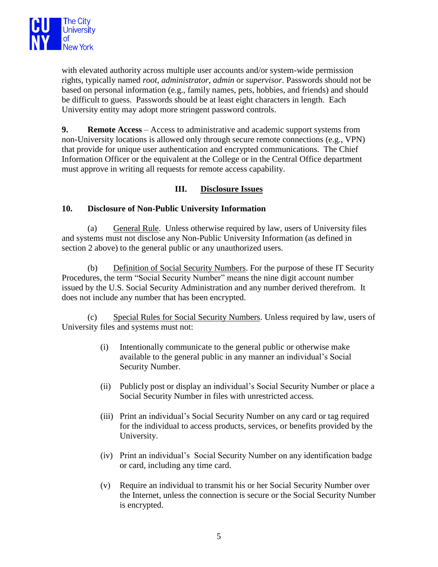

with elevated authority across multiple user accounts and/or system-wide permission rights, typically named *root*, *administrator*, *admin* or *supervisor*. Passwords should not be based on personal information (e.g., family names, pets, hobbies, and friends) and should be difficult to guess. Passwords should be at least eight characters in length. Each University entity may adopt more stringent password controls.

**9. Remote Access** – Access to administrative and academic support systems from non-University locations is allowed only through secure remote connections (e.g., VPN) that provide for unique user authentication and encrypted communications. The Chief Information Officer or the equivalent at the College or in the Central Office department must approve in writing all requests for remote access capability.

## **III. Disclosure Issues**

### **10. Disclosure of Non-Public University Information**

(a) General Rule. Unless otherwise required by law, users of University files and systems must not disclose any Non-Public University Information (as defined in section 2 above) to the general public or any unauthorized users.

(b) Definition of Social Security Numbers. For the purpose of these IT Security Procedures, the term "Social Security Number" means the nine digit account number issued by the U.S. Social Security Administration and any number derived therefrom. It does not include any number that has been encrypted.

(c) Special Rules for Social Security Numbers. Unless required by law, users of University files and systems must not:

- (i) Intentionally communicate to the general public or otherwise make available to the general public in any manner an individual's Social Security Number.
- (ii) Publicly post or display an individual's Social Security Number or place a Social Security Number in files with unrestricted access.
- (iii) Print an individual's Social Security Number on any card or tag required for the individual to access products, services, or benefits provided by the University.
- (iv) Print an individual's Social Security Number on any identification badge or card, including any time card.
- (v) Require an individual to transmit his or her Social Security Number over the Internet, unless the connection is secure or the Social Security Number is encrypted.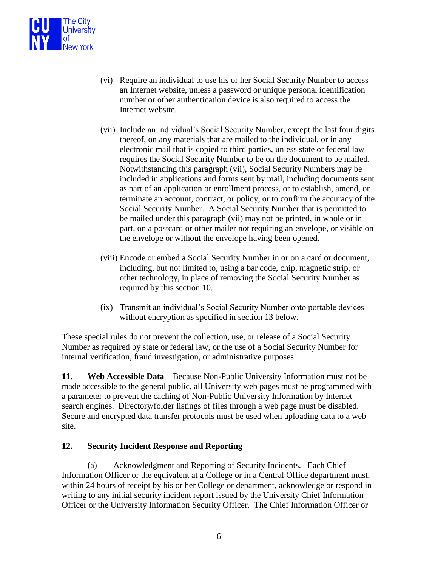

- (vi) Require an individual to use his or her Social Security Number to access an Internet website, unless a password or unique personal identification number or other authentication device is also required to access the Internet website.
- (vii) Include an individual's Social Security Number, except the last four digits thereof, on any materials that are mailed to the individual, or in any electronic mail that is copied to third parties, unless state or federal law requires the Social Security Number to be on the document to be mailed. Notwithstanding this paragraph (vii), Social Security Numbers may be included in applications and forms sent by mail, including documents sent as part of an application or enrollment process, or to establish, amend, or terminate an account, contract, or policy, or to confirm the accuracy of the Social Security Number. A Social Security Number that is permitted to be mailed under this paragraph (vii) may not be printed, in whole or in part, on a postcard or other mailer not requiring an envelope, or visible on the envelope or without the envelope having been opened.
- (viii) Encode or embed a Social Security Number in or on a card or document, including, but not limited to, using a bar code, chip, magnetic strip, or other technology, in place of removing the Social Security Number as required by this section 10.
- (ix) Transmit an individual's Social Security Number onto portable devices without encryption as specified in section 13 below.

These special rules do not prevent the collection, use, or release of a Social Security Number as required by state or federal law, or the use of a Social Security Number for internal verification, fraud investigation, or administrative purposes.

**11. Web Accessible Data** – Because Non-Public University Information must not be made accessible to the general public, all University web pages must be programmed with a parameter to prevent the caching of Non-Public University Information by Internet search engines. Directory/folder listings of files through a web page must be disabled. Secure and encrypted data transfer protocols must be used when uploading data to a web site.

### **12. Security Incident Response and Reporting**

(a) Acknowledgment and Reporting of Security Incidents. Each Chief Information Officer or the equivalent at a College or in a Central Office department must, within 24 hours of receipt by his or her College or department, acknowledge or respond in writing to any initial security incident report issued by the University Chief Information Officer or the University Information Security Officer. The Chief Information Officer or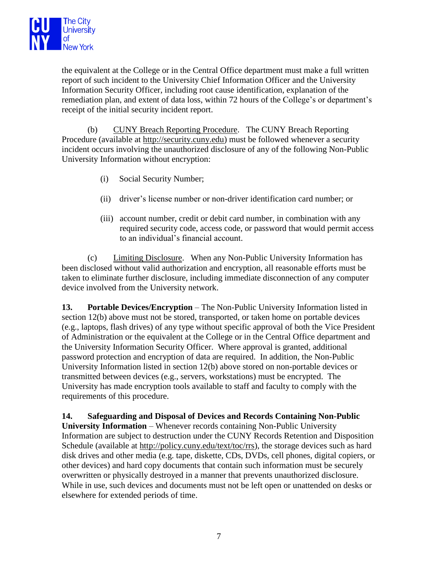

the equivalent at the College or in the Central Office department must make a full written report of such incident to the University Chief Information Officer and the University Information Security Officer, including root cause identification, explanation of the remediation plan, and extent of data loss, within 72 hours of the College's or department's receipt of the initial security incident report.

(b) CUNY Breach Reporting Procedure. The CUNY Breach Reporting Procedure (available at http://security.cuny.edu) must be followed whenever a security incident occurs involving the unauthorized disclosure of any of the following Non-Public University Information without encryption:

- (i) Social Security Number;
- (ii) driver's license number or non-driver identification card number; or
- (iii) account number, credit or debit card number, in combination with any required security code, access code, or password that would permit access to an individual's financial account.

(c) Limiting Disclosure. When any Non-Public University Information has been disclosed without valid authorization and encryption, all reasonable efforts must be taken to eliminate further disclosure, including immediate disconnection of any computer device involved from the University network.

**13. Portable Devices/Encryption** – The Non-Public University Information listed in section 12(b) above must not be stored, transported, or taken home on portable devices (e.g., laptops, flash drives) of any type without specific approval of both the Vice President of Administration or the equivalent at the College or in the Central Office department and the University Information Security Officer. Where approval is granted, additional password protection and encryption of data are required. In addition, the Non-Public University Information listed in section 12(b) above stored on non-portable devices or transmitted between devices (e.g., servers, workstations) must be encrypted. The University has made encryption tools available to staff and faculty to comply with the requirements of this procedure.

**14. Safeguarding and Disposal of Devices and Records Containing Non-Public University Information** – Whenever records containing Non-Public University Information are subject to destruction under the CUNY Records Retention and Disposition Schedule (available at http://policy.cuny.edu/text/toc/rrs), the storage devices such as hard disk drives and other media (e.g. tape, diskette, CDs, DVDs, cell phones, digital copiers, or other devices) and hard copy documents that contain such information must be securely overwritten or physically destroyed in a manner that prevents unauthorized disclosure. While in use, such devices and documents must not be left open or unattended on desks or elsewhere for extended periods of time.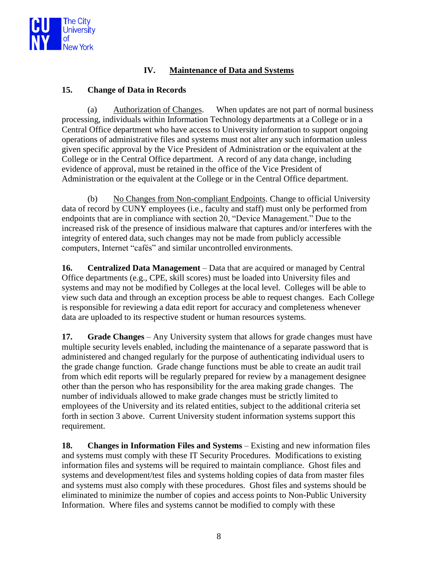

## **IV. Maintenance of Data and Systems**

#### **15. Change of Data in Records**

(a) Authorization of Changes. When updates are not part of normal business processing, individuals within Information Technology departments at a College or in a Central Office department who have access to University information to support ongoing operations of administrative files and systems must not alter any such information unless given specific approval by the Vice President of Administration or the equivalent at the College or in the Central Office department. A record of any data change, including evidence of approval, must be retained in the office of the Vice President of Administration or the equivalent at the College or in the Central Office department.

(b) No Changes from Non-compliant Endpoints. Change to official University data of record by CUNY employees (i.e., faculty and staff) must only be performed from endpoints that are in compliance with section 20, "Device Management." Due to the increased risk of the presence of insidious malware that captures and/or interferes with the integrity of entered data, such changes may not be made from publicly accessible computers, Internet "cafés" and similar uncontrolled environments.

**16. Centralized Data Management** – Data that are acquired or managed by Central Office departments (e.g., CPE, skill scores) must be loaded into University files and systems and may not be modified by Colleges at the local level. Colleges will be able to view such data and through an exception process be able to request changes. Each College is responsible for reviewing a data edit report for accuracy and completeness whenever data are uploaded to its respective student or human resources systems.

**17. Grade Changes** – Any University system that allows for grade changes must have multiple security levels enabled, including the maintenance of a separate password that is administered and changed regularly for the purpose of authenticating individual users to the grade change function. Grade change functions must be able to create an audit trail from which edit reports will be regularly prepared for review by a management designee other than the person who has responsibility for the area making grade changes. The number of individuals allowed to make grade changes must be strictly limited to employees of the University and its related entities, subject to the additional criteria set forth in section 3 above. Current University student information systems support this requirement.

**18. Changes in Information Files and Systems** – Existing and new information files and systems must comply with these IT Security Procedures. Modifications to existing information files and systems will be required to maintain compliance. Ghost files and systems and development/test files and systems holding copies of data from master files and systems must also comply with these procedures. Ghost files and systems should be eliminated to minimize the number of copies and access points to Non-Public University Information. Where files and systems cannot be modified to comply with these